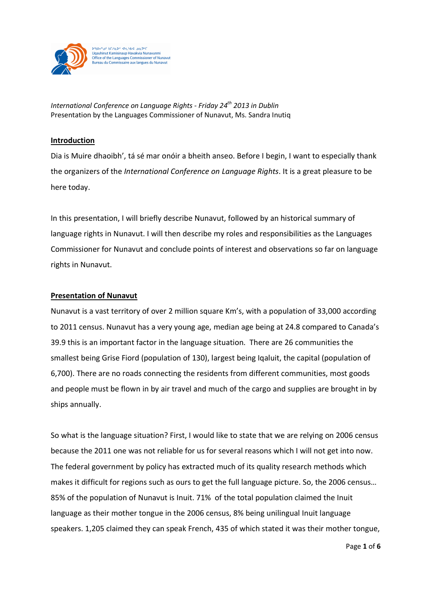

יים<sup>כ</sup> 14סט איביאם בארו Jean-Jackson Records State State State State State State State State State State State State State State State State State State State State State State State State State State State State State State State State State Sta Diaminut Kamisinaup Havakvia Nuriavurimi<br>Office of the Languages Commissioner of Nunavut<br>Bureau du Commissaire aux langues du Nunavut

*International Conference on Language Rights - Friday 24th 2013 in Dublin*  Presentation by the Languages Commissioner of Nunavut, Ms. Sandra Inutiq

## **Introduction**

Dia is Muire dhaoibh', tá sé mar onóir a bheith anseo. Before I begin, I want to especially thank the organizers of the *International Conference on Language Rights*. It is a great pleasure to be here today.

In this presentation, I will briefly describe Nunavut, followed by an historical summary of language rights in Nunavut. I will then describe my roles and responsibilities as the Languages Commissioner for Nunavut and conclude points of interest and observations so far on language rights in Nunavut.

## **Presentation of Nunavut**

Nunavut is a vast territory of over 2 million square Km's, with a population of 33,000 according to 2011 census. Nunavut has a very young age, median age being at 24.8 compared to Canada's 39.9 this is an important factor in the language situation. There are 26 communities the smallest being Grise Fiord (population of 130), largest being Iqaluit, the capital (population of 6,700). There are no roads connecting the residents from different communities, most goods and people must be flown in by air travel and much of the cargo and supplies are brought in by ships annually.

So what is the language situation? First, I would like to state that we are relying on 2006 census because the 2011 one was not reliable for us for several reasons which I will not get into now. The federal government by policy has extracted much of its quality research methods which makes it difficult for regions such as ours to get the full language picture. So, the 2006 census… 85% of the population of Nunavut is Inuit. 71% of the total population claimed the Inuit language as their mother tongue in the 2006 census, 8% being unilingual Inuit language speakers. 1,205 claimed they can speak French, 435 of which stated it was their mother tongue,

Page **1** of **6**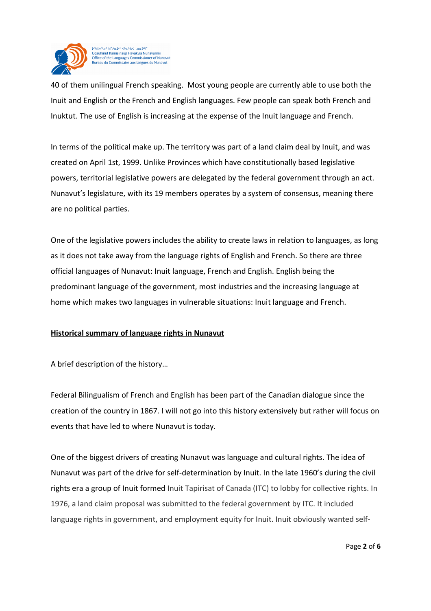

**US AC HELA NS ANY RAY AN ONE** Jaauhinut Kamisinaup Havakvia Nunavunmi Office of the Languages Commissioner of Nunavut Bureau du Commissaire aux langues du Nunavut

40 of them unilingual French speaking. Most young people are currently able to use both the Inuit and English or the French and English languages. Few people can speak both French and Inuktut. The use of English is increasing at the expense of the Inuit language and French.

In terms of the political make up. The territory was part of a land claim deal by Inuit, and was created on April 1st, 1999. Unlike Provinces which have constitutionally based legislative powers, territorial legislative powers are delegated by the federal government through an act. Nunavut's legislature, with its 19 members operates by a system of consensus, meaning there are no political parties.

One of the legislative powers includes the ability to create laws in relation to languages, as long as it does not take away from the language rights of English and French. So there are three official languages of Nunavut: Inuit language, French and English. English being the predominant language of the government, most industries and the increasing language at home which makes two languages in vulnerable situations: Inuit language and French.

## **Historical summary of language rights in Nunavut**

A brief description of the history…

Federal Bilingualism of French and English has been part of the Canadian dialogue since the creation of the country in 1867. I will not go into this history extensively but rather will focus on events that have led to where Nunavut is today.

One of the biggest drivers of creating Nunavut was language and cultural rights. The idea of Nunavut was part of the drive for self-determination by Inuit. In the late 1960's during the civil rights era a group of Inuit formed Inuit Tapirisat of Canada (ITC) to lobby for collective rights. In 1976, a land claim proposal was submitted to the federal government by ITC. It included language rights in government, and employment equity for Inuit. Inuit obviously wanted self-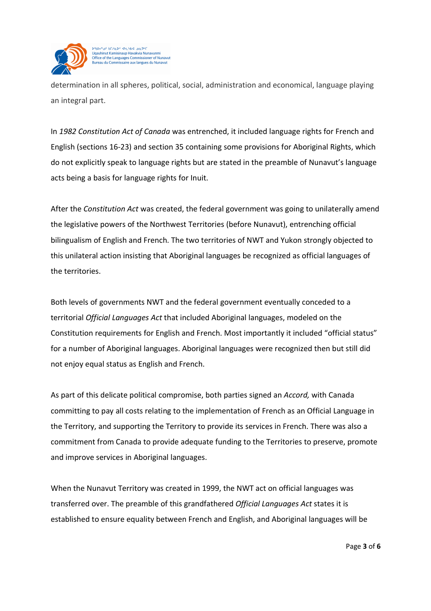

determination in all spheres, political, social, administration and economical, language playing an integral part.

In *1982 Constitution Act of Canada* was entrenched, it included language rights for French and English (sections 16-23) and section 35 containing some provisions for Aboriginal Rights, which do not explicitly speak to language rights but are stated in the preamble of Nunavut's language acts being a basis for language rights for Inuit.

After the *Constitution Act* was created, the federal government was going to unilaterally amend the legislative powers of the Northwest Territories (before Nunavut), entrenching official bilingualism of English and French. The two territories of NWT and Yukon strongly objected to this unilateral action insisting that Aboriginal languages be recognized as official languages of the territories.

Both levels of governments NWT and the federal government eventually conceded to a territorial *Official Languages Act* that included Aboriginal languages, modeled on the Constitution requirements for English and French. Most importantly it included "official status" for a number of Aboriginal languages. Aboriginal languages were recognized then but still did not enjoy equal status as English and French.

As part of this delicate political compromise, both parties signed an *Accord,* with Canada committing to pay all costs relating to the implementation of French as an Official Language in the Territory, and supporting the Territory to provide its services in French. There was also a commitment from Canada to provide adequate funding to the Territories to preserve, promote and improve services in Aboriginal languages.

When the Nunavut Territory was created in 1999, the NWT act on official languages was transferred over. The preamble of this grandfathered *Official Languages Act* states it is established to ensure equality between French and English, and Aboriginal languages will be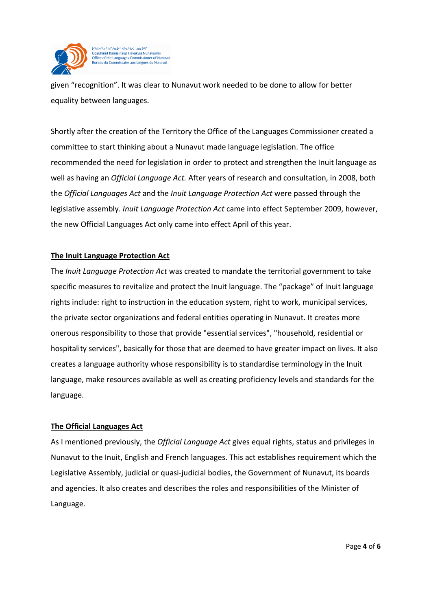

is of hEzo be die lad oo by Jaauhinut Kamisinaup Havakvia Nunavunmi Office of the Languages Commissioner of Nunavut<br>Bureau du Commissaire aux langues du Nunavut

given "recognition". It was clear to Nunavut work needed to be done to allow for better equality between languages.

Shortly after the creation of the Territory the Office of the Languages Commissioner created a committee to start thinking about a Nunavut made language legislation. The office recommended the need for legislation in order to protect and strengthen the Inuit language as well as having an *Official Language Act.* After years of research and consultation, in 2008, both the *Official Languages Act* and the *Inuit Language Protection Act* were passed through the legislative assembly. *Inuit Language Protection Act* came into effect September 2009, however, the new Official Languages Act only came into effect April of this year.

## **The Inuit Language Protection Act**

The *Inuit Language Protection Act* was created to mandate the territorial government to take specific measures to revitalize and protect the Inuit language. The "package" of Inuit language rights include: right to instruction in the education system, right to work, municipal services, the private sector organizations and federal entities operating in Nunavut. It creates more onerous responsibility to those that provide "essential services", "household, residential or hospitality services", basically for those that are deemed to have greater impact on lives*.* It also creates a language authority whose responsibility is to standardise terminology in the Inuit language, make resources available as well as creating proficiency levels and standards for the language.

## **The Official Languages Act**

As I mentioned previously, the *Official Language Act* gives equal rights, status and privileges in Nunavut to the Inuit, English and French languages. This act establishes requirement which the Legislative Assembly, judicial or quasi-judicial bodies, the Government of Nunavut, its boards and agencies. It also creates and describes the roles and responsibilities of the Minister of Language.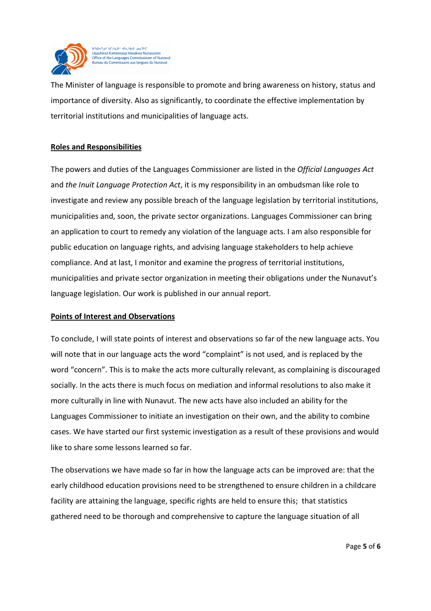

**US AC HELA NS ANY RAY AN ONE** Uqauhinut Kamisinaup Havakvia Nunavunmi Office of the Languages Commissioner of Nunavut Bureau du Commissaire aux langues du Nunavut

The Minister of language is responsible to promote and bring awareness on history, status and importance of diversity. Also as significantly, to coordinate the effective implementation by territorial institutions and municipalities of language acts.

# **Roles and Responsibilities**

The powers and duties of the Languages Commissioner are listed in the *Official Languages Act*  and *the Inuit Language Protection Act*, it is my responsibility in an ombudsman like role to investigate and review any possible breach of the language legislation by territorial institutions, municipalities and, soon, the private sector organizations. Languages Commissioner can bring an application to court to remedy any violation of the language acts. I am also responsible for public education on language rights, and advising language stakeholders to help achieve compliance. And at last, I monitor and examine the progress of territorial institutions, municipalities and private sector organization in meeting their obligations under the Nunavut's language legislation. Our work is published in our annual report.

## **Points of Interest and Observations**

To conclude, I will state points of interest and observations so far of the new language acts. You will note that in our language acts the word "complaint" is not used, and is replaced by the word "concern". This is to make the acts more culturally relevant, as complaining is discouraged socially. In the acts there is much focus on mediation and informal resolutions to also make it more culturally in line with Nunavut. The new acts have also included an ability for the Languages Commissioner to initiate an investigation on their own, and the ability to combine cases. We have started our first systemic investigation as a result of these provisions and would like to share some lessons learned so far.

The observations we have made so far in how the language acts can be improved are: that the early childhood education provisions need to be strengthened to ensure children in a childcare facility are attaining the language, specific rights are held to ensure this; that statistics gathered need to be thorough and comprehensive to capture the language situation of all